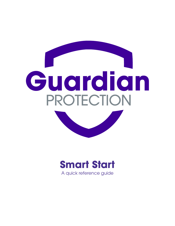

# **Smart Start**

A quick reference guide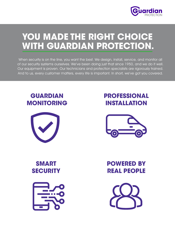

### **YOU MADE THE RIGHT CHOICE WITH GUARDIAN PROTECTION.**

When security is on the line, you want the best. We design, install, service, and monitor all of our security systems ourselves. We've been doing just that since 1950, and we do it well. Our equipment is proven. Our technicians and protection specialists are rigorously trained. And to us, every customer matters, every life is important. In short, we've got you covered.

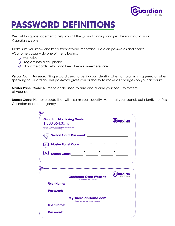

## **PASSWORD DEFINITIONS**

We put this guide together to help you hit the ground running and get the most out of your Guardian system.

Make sure you know and keep track of your important Guardian passwords and codes. vCustomers usually do one of the following:

- **Memorize**
- Program into a cell phone
- Fill out the cards below and keep them somewhere safe

Verbal Alarm Password: Single word used to verify your identity when an alarm is triggered or when speaking to Guardian. This password gives you authority to make all changes on your account.

Master Panel Code: Numeric code used to arm and disarm your security system at your panel.

**Duress Code:** Numeric code that will disarm your security system at your panel, but silently notifies Guardian of an emergency.

| 1.800.364.3616                                                           | <b>Guardian Monitoring Center:</b>                                                                                    | Guardian |
|--------------------------------------------------------------------------|-----------------------------------------------------------------------------------------------------------------------|----------|
| Program this number into your phone so you<br>always know who's calling! |                                                                                                                       |          |
|                                                                          | Verbal Alarm Password: ________                                                                                       |          |
|                                                                          | Master Panel Code:__________________________                                                                          |          |
| <b>Duress Code:</b><br><u> 1990 - Johann Barbara, martxa</u>             |                                                                                                                       |          |
|                                                                          |                                                                                                                       |          |
|                                                                          |                                                                                                                       |          |
|                                                                          | <b>Customer Care Website</b>                                                                                          |          |
| <b>User Name:</b>                                                        | To manage your account                                                                                                |          |
| <b>Password:</b>                                                         | <u> 1980 - Andrea State Barbara, amerikan personal di sebagai personal di sebagai personal di sebagai personal di</u> |          |
|                                                                          | <b>MyGuardianHome.com</b><br>To control your advanced products                                                        |          |
| <b>User Name:</b>                                                        |                                                                                                                       |          |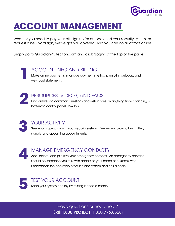

## **ACCOUNT MANAGEMENT**

Whether you need to pay your bill, sign up for autopay, test your security system, or request a new yard sign, we've got you covered. And you can do all of that online.

Simply go to GuardianProtection.com and click 'Login' at the top of the page.

ACCOUNT INFO AND BILLING Make online payments, manage payment methods, enroll in autopay, and view past statements.

**2**

**1**

#### RESOURCES, VIDEOS, AND FAQS

Find answers to common questions and instructions on anything from changing a battery to control panel How To's.

**3**

#### YOUR ACTIVITY

See what's going on with your security system. View recent alarms, low battery signals, and upcoming appointments.

**4**

#### MANAGE EMERGENCY CONTACTS

Add, delete, and prioritize your emergency contacts. An emergency contact should be someone you trust with access to your home or business, who understands the operation of your alarm system and has a code.

**5**

#### TEST YOUR ACCOUNT

Keep your system healthy by testing it once a month.

Have questions or need help? Call 1.800.PROTECT (1.800.776.8328)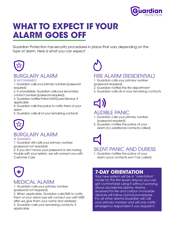

### **WHAT TO EXPECT IF YOUR ALARM GOES OFF**

Guardian Protection has security procedures in place that vary depending on the type of alarm. Here is what you can expect:



#### BURGLARY ALARM

#### (IF NOT DISARMED)

1. Guardian calls your primary number (password required)

2. If unavailable, Guardian calls your secondary contact number (password required)

3. Guardian notifies Patrol Unit/Guard Service, if applicable

4. Guardian calls the police to notify them of your alarm

5. Guardian calls all of your remaining contacts



### BURGLARY ALARM

#### (IF DISARMED)

1. Guardian still calls your primary number (password not required)

2. If you don't know your password or are having trouble with your system, we will connect you with Customer Care



#### MEDICAL ALARM

1. Guardian calls your primary number (password not required)

2. When applicable, Guardian calls EMS to notify them of your alarm (we will connect you with EMS after we give them your name and address) 3. Guardian calls your remaining contacts, if applicable



#### FIRE ALARM (RESIDENTIAL)

1. Guardian calls your primary number (password required)

- 2. Guardian notifies the fire department
- 3. Guardian calls all of your remaining contacts



#### AUDIBLE PANIC

- 1. Guardian calls your primary number (password required)
- 2. Guardian notifies the police of your alarm (no additional contacts called)



#### SILENT PANIC AND DURESS

1. Guardian notifies the police of your alarm (your contacts won't be called)

#### **7-DAY ORIENTATION**

Your new system will be in "orientation" mode for the first seven days so you can get comfortable using it without worrying about accidental alarms. Alarms received for fire and carbon monoxide devices will follow normal procedures. For all other alarms Guardian will call your primary number and will only notify emergency responders if you request it.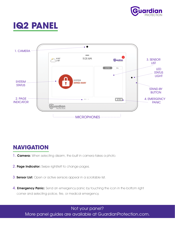





### **NAVIGATION**

- 1. **Camera:** When selecting disarm, the built in camera takes a photo.
- 2. Page Indicator: Swipe right/left to change pages.
- 3. Sensor List: Open or active sensors appear in a scrollable list.
- 4. **Emergency Panic:** Send an emergency panic by touching the icon in the bottom right corner and selecting police, fire, or medical emergency.

Not your panel? More panel guides are available at GuardianProtection.com.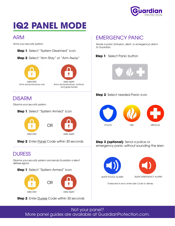

# **IQ2 PANEL MODE**

#### ARM

Arms your security system.

- **Step 1**: Select "System Disarmed" icon
- **Step 2**: Select "Arm Stay" or "Arm Away"



Arms doors/windows only

ARM AWAY Arms doors/windows, motions, and glass breaks

#### DISARM

Disarms your security system.

#### **Step 1**: Select "System Armed" icon



**Step 2**: Enter Panel Code within 30 seconds

### DURESS

Disarms your security system and sends Guardian a silent distress signal.

**Step 1**: Select "System Armed" icon



**Step 2**: Enter Duress Code within 30 seconds

### EMERGENCY PANIC

Sends a panic (intrusion, silent, or emergency) alarm to Guardian.

**Step 1**: Select Panic button



#### **Step 2**: Select needed Panic icon



**Step 3 (optional)**: Send a police or emergency panic without sounding the siren.



If selected in error, enter User Code to dismiss.

Not your panel? More panel guides are available at GuardianProtection.com.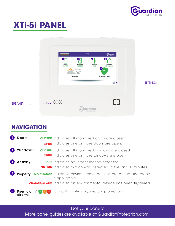

# **XTi-5i PANEL**



### **NAVIGATION**

| Doors:                   | <b>CLOSED</b> indicates all monitored doors are closed.<br><b>OPEN</b> indicates one or more doors are open.            |
|--------------------------|-------------------------------------------------------------------------------------------------------------------------|
| Windows:                 | <b>CLOSED</b> indicates all monitored windows are closed.<br><b>OPEN</b> indicates one or more windows are open.        |
| <b>Activity:</b>         | <b>IDLE</b> indicates no recent motion detected.<br><b>MOTION</b> indicates motion was detected in the last 10 minutes. |
|                          | <b>Property: NO CHANGE</b> indicates environmental devices are armed and ready,<br>if applicable.                       |
|                          | <b>CHANGE/ALARM</b> indicates an environmental device has been triggered.                                               |
| Press to arm/<br>disarm: | Turn on/off intrusion/burglary protection.                                                                              |

Not your panel?

More panel guides are available at GuardianProtection.com.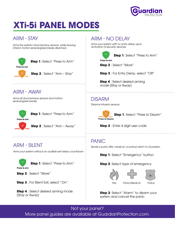

# **XTi-5i PANEL MODES**

#### ARM - STAY

Arms the exterior door/window sensors, while leaving interior motion sensors/glass breaks disarmed.



**Step 1**: Select "Press to Arm"



**Step 2** : Select "Arm – Stay"

#### ARM - AWAY

Arms all door/window sensors and motion sensors/glass breaks.





**Step 2** : Select "Arm – Away"

#### ARM - SILENT

Arms your system without an audible exit delay countdown.



**Step 1**: Select "Press to Arm"

**Step 2** : Select "More"

**Step 3** : For Silent Exit, select "On"

**Step 4** : Select desired arming mode (Stay or Away)

#### ARM - NO DELAY

Arms your system with no entry delay upon activation of security devices.



**Step 1**: Select "Press to Arm"

**Step 2** : Select "More"

**Step 3** : For Entry Delay, select "Off"

**Step 4** : Select desired arming mode (Stay or Away)

#### DISARM

Disarms intrusion sensors.

**Step 1**: Select "Press to Arm" **Step 1**: Select "Press to Disarm" ress to disarm

**Step 2** : Enter 4 digit user code

#### PANIC

Sends a panic (fire, medical, or police) alarm to Guardian.

**Step 1**: Select "Emergency" button

**Step 2**: Select type of emergency



**Step 3**: Select "Alarm" to disarm your system and cancel the panic

Not your panel? More panel guides are available at GuardianProtection.com.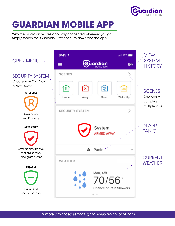

# **GUARDIAN MOBILE APP**

With the Guardian mobile app, stay connected wherever you go. Simply search for "Guardian Protection" to download the app.



For more advanced settings, go to MyGuardianHome.com.